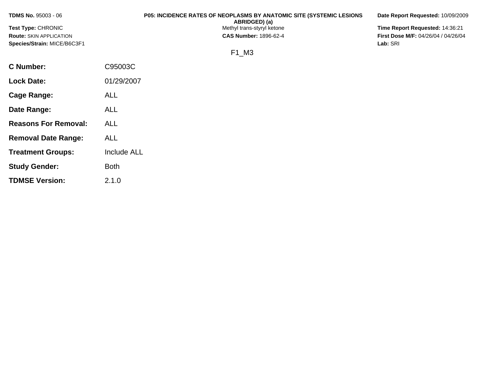| <b>TDMS No. 95003 - 06</b>     | <b>P05: INCIDENCE RATES OF NEOPLASMS BY ANATOMIC SITE (SYSTEMIC LESIONS)</b><br>ABRIDGED) (a) | Date Report Requested: 10/09/2009          |
|--------------------------------|-----------------------------------------------------------------------------------------------|--------------------------------------------|
| <b>Test Type: CHRONIC</b>      | Methyl trans-styryl ketone                                                                    | Time Report Requested: 14:36:21            |
| <b>Route: SKIN APPLICATION</b> | <b>CAS Number: 1896-62-4</b>                                                                  | <b>First Dose M/F: 04/26/04 / 04/26/04</b> |
| Species/Strain: MICE/B6C3F1    |                                                                                               | Lab: SRI                                   |
|                                | F1 M3                                                                                         |                                            |
| <b>C</b> Number:               | C95003C                                                                                       |                                            |

| Cage Range:                 | <b>ALL</b>         |
|-----------------------------|--------------------|
| Date Range:                 | ALL                |
| <b>Reasons For Removal:</b> | ALL                |
| <b>Removal Date Range:</b>  | ALL                |
| <b>Treatment Groups:</b>    | <b>Include ALL</b> |
| <b>Study Gender:</b>        | <b>Both</b>        |
| <b>TDMSE Version:</b>       | 2.1.0              |

**Lock Date:** 01/29/2007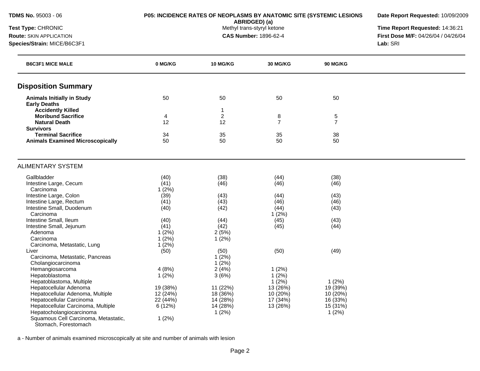**ABRIDGED) (a)**<br>Methyl trans-styryl ketone

**Date Report Requested:** 10/09/2009

**Test Type:** CHRONIC **The Report Requested:** 14:36:21 **Route:** SKIN APPLICATION **CAS Number:** 1896-62-4 **First Dose M/F:** 04/26/04 / 04/26/04 **Species/Strain:** MICE/B6C3F1 **Lab:** SRI

| <b>B6C3F1 MICE MALE</b>                 | 0 MG/KG  | <b>10 MG/KG</b> | <b>30 MG/KG</b> | <b>90 MG/KG</b> |  |
|-----------------------------------------|----------|-----------------|-----------------|-----------------|--|
| <b>Disposition Summary</b>              |          |                 |                 |                 |  |
| <b>Animals Initially in Study</b>       | 50       | 50              | 50              | 50              |  |
| <b>Early Deaths</b>                     |          |                 |                 |                 |  |
| <b>Accidently Killed</b>                |          | $\mathbf 1$     |                 |                 |  |
| <b>Moribund Sacrifice</b>               | 4        | $\overline{2}$  | 8               | 5               |  |
| <b>Natural Death</b>                    | 12       | 12              | $\overline{7}$  | $\overline{7}$  |  |
| <b>Survivors</b>                        |          |                 |                 |                 |  |
| <b>Terminal Sacrifice</b>               | 34       | 35              | 35              | 38              |  |
| <b>Animals Examined Microscopically</b> | 50       | 50              | 50              | 50              |  |
| <b>ALIMENTARY SYSTEM</b>                |          |                 |                 |                 |  |
| Gallbladder                             | (40)     | (38)            | (44)            | (38)            |  |
| Intestine Large, Cecum                  | (41)     | (46)            | (46)            | (46)            |  |
| Carcinoma                               | 1(2%)    |                 |                 |                 |  |
| Intestine Large, Colon                  | (39)     | (43)            | (44)            | (43)            |  |
| Intestine Large, Rectum                 | (41)     | (43)            | (46)            | (46)            |  |
| Intestine Small, Duodenum               | (40)     | (42)            | (44)            | (43)            |  |
| Carcinoma                               |          |                 | 1(2%)           |                 |  |
| Intestine Small, Ileum                  | (40)     | (44)            | (45)            | (43)            |  |
| Intestine Small, Jejunum                | (41)     | (42)            | (45)            | (44)            |  |
| Adenoma                                 | 1(2%)    | 2(5%)           |                 |                 |  |
| Carcinoma                               | 1(2%)    | 1(2%)           |                 |                 |  |
| Carcinoma, Metastatic, Lung             | 1(2%)    |                 |                 |                 |  |
| Liver                                   | (50)     | (50)            | (50)            | (49)            |  |
| Carcinoma, Metastatic, Pancreas         |          | 1(2%)           |                 |                 |  |
| Cholangiocarcinoma                      |          | 1(2%)           |                 |                 |  |
| Hemangiosarcoma                         | 4(8%)    | 2(4%)           | 1(2%)           |                 |  |
| Hepatoblastoma                          | 1(2%)    | 3(6%)           | 1(2%)           |                 |  |
| Hepatoblastoma, Multiple                |          |                 | 1(2%)           | 1(2%)           |  |
| Hepatocellular Adenoma                  | 19 (38%) | 11 (22%)        | 13 (26%)        | 19 (39%)        |  |
| Hepatocellular Adenoma, Multiple        | 12 (24%) | 18 (36%)        | 10 (20%)        | 10 (20%)        |  |
| Hepatocellular Carcinoma                | 22 (44%) | 14 (28%)        | 17 (34%)        | 16 (33%)        |  |
| Hepatocellular Carcinoma, Multiple      | 6(12%)   | 14 (28%)        | 13 (26%)        | 15 (31%)        |  |
| Hepatocholangiocarcinoma                |          | 1(2%)           |                 | 1(2%)           |  |
| Squamous Cell Carcinoma, Metastatic,    | 1(2%)    |                 |                 |                 |  |
| Stomach, Forestomach                    |          |                 |                 |                 |  |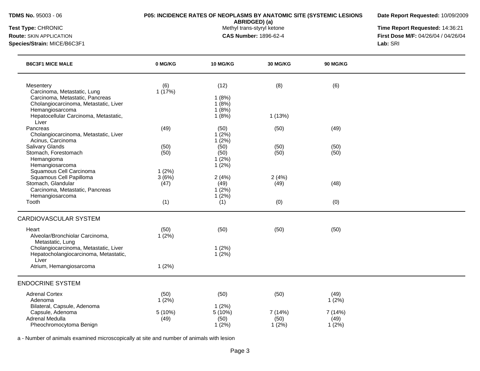**ABRIDGED) (a)**<br>Methyl trans-styryl ketone

**Date Report Requested:** 10/09/2009

**Test Type:** CHRONIC **The Report Requested:** 14:36:21 **Route:** SKIN APPLICATION **CAS Number:** 1896-62-4 **First Dose M/F:** 04/26/04 / 04/26/04

**Species/Strain:** MICE/B6C3F1 **Lab:** SRI

| <b>B6C3F1 MICE MALE</b>                                                                                                                 | 0 MG/KG                | 10 MG/KG                          | 30 MG/KG                | <b>90 MG/KG</b>          |  |
|-----------------------------------------------------------------------------------------------------------------------------------------|------------------------|-----------------------------------|-------------------------|--------------------------|--|
| Mesentery<br>Carcinoma, Metastatic, Lung<br>Carcinoma, Metastatic, Pancreas<br>Cholangiocarcinoma, Metastatic, Liver<br>Hemangiosarcoma | (6)<br>1(17%)          | (12)<br>1(8%)<br>1(8%)<br>1(8%)   | (8)                     | (6)                      |  |
| Hepatocellular Carcinoma, Metastatic,<br>Liver                                                                                          |                        | 1(8%)                             | 1(13%)                  |                          |  |
| Pancreas<br>Cholangiocarcinoma, Metastatic, Liver<br>Acinus, Carcinoma                                                                  | (49)                   | (50)<br>1(2%)<br>1(2%)            | (50)                    | (49)                     |  |
| Salivary Glands<br>Stomach, Forestomach<br>Hemangioma<br>Hemangiosarcoma                                                                | (50)<br>(50)           | (50)<br>(50)<br>$1(2\%)$<br>1(2%) | (50)<br>(50)            | (50)<br>(50)             |  |
| Squamous Cell Carcinoma<br>Squamous Cell Papilloma<br>Stomach, Glandular<br>Carcinoma, Metastatic, Pancreas                             | 1(2%)<br>3(6%)<br>(47) | 2(4%)<br>(49)<br>$1(2\%)$         | 2(4%)<br>(49)           | (48)                     |  |
| Hemangiosarcoma<br>Tooth                                                                                                                | (1)                    | 1(2%)<br>(1)                      | (0)                     | (0)                      |  |
| <b>CARDIOVASCULAR SYSTEM</b>                                                                                                            |                        |                                   |                         |                          |  |
| Heart<br>Alveolar/Bronchiolar Carcinoma,<br>Metastatic, Lung                                                                            | (50)<br>1(2%)          | (50)                              | (50)                    | (50)                     |  |
| Cholangiocarcinoma, Metastatic, Liver<br>Hepatocholangiocarcinoma, Metastatic,<br>Liver                                                 |                        | 1(2%)<br>1(2%)                    |                         |                          |  |
| Atrium, Hemangiosarcoma                                                                                                                 | 1(2%)                  |                                   |                         |                          |  |
| <b>ENDOCRINE SYSTEM</b>                                                                                                                 |                        |                                   |                         |                          |  |
| <b>Adrenal Cortex</b><br>Adenoma<br>Bilateral, Capsule, Adenoma                                                                         | (50)<br>1(2%)          | (50)<br>1(2%)                     | (50)                    | (49)<br>1(2%)            |  |
| Capsule, Adenoma<br>Adrenal Medulla<br>Pheochromocytoma Benign                                                                          | 5 (10%)<br>(49)        | 5 (10%)<br>(50)<br>1(2%)          | 7(14%)<br>(50)<br>1(2%) | 7 (14%)<br>(49)<br>1(2%) |  |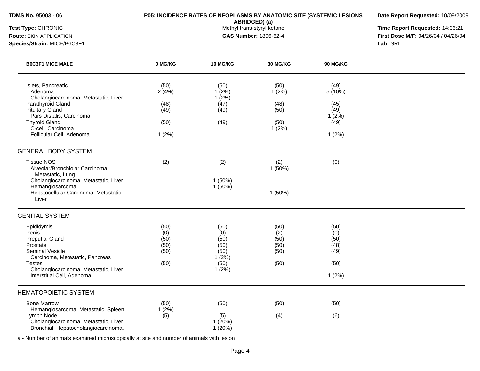**Date Report Requested:** 10/09/2009

**ABRIDGED) (a)**<br>Methyl trans-styryl ketone

**Test Type:** CHRONIC **The Report Requested:** 14:36:21 **Route:** SKIN APPLICATION **CAS Number:** 1896-62-4 **First Dose M/F:** 04/26/04 / 04/26/04 **Species/Strain:** MICE/B6C3F1 **Lab:** SRI

| <b>B6C3F1 MICE MALE</b>                                                                                                                                                                                                    | 0 MG/KG                                        | 10 MG/KG                                                      | 30 MG/KG                                       | <b>90 MG/KG</b>                                          |  |
|----------------------------------------------------------------------------------------------------------------------------------------------------------------------------------------------------------------------------|------------------------------------------------|---------------------------------------------------------------|------------------------------------------------|----------------------------------------------------------|--|
| Islets, Pancreatic<br>Adenoma<br>Cholangiocarcinoma, Metastatic, Liver<br>Parathyroid Gland<br><b>Pituitary Gland</b><br>Pars Distalis, Carcinoma<br><b>Thyroid Gland</b><br>C-cell, Carcinoma<br>Follicular Cell, Adenoma | (50)<br>2(4%)<br>(48)<br>(49)<br>(50)<br>1(2%) | (50)<br>$1(2\%)$<br>1(2%)<br>(47)<br>(49)<br>(49)             | (50)<br>1(2%)<br>(48)<br>(50)<br>(50)<br>1(2%) | (49)<br>5(10%)<br>(45)<br>(49)<br>1(2%)<br>(49)<br>1(2%) |  |
| <b>GENERAL BODY SYSTEM</b>                                                                                                                                                                                                 |                                                |                                                               |                                                |                                                          |  |
| <b>Tissue NOS</b><br>Alveolar/Bronchiolar Carcinoma,<br>Metastatic, Lung<br>Cholangiocarcinoma, Metastatic, Liver                                                                                                          | (2)                                            | (2)<br>1(50%)                                                 | (2)<br>1(50%)                                  | (0)                                                      |  |
| Hemangiosarcoma<br>Hepatocellular Carcinoma, Metastatic,<br>Liver                                                                                                                                                          |                                                | 1 (50%)                                                       | 1(50%)                                         |                                                          |  |
| <b>GENITAL SYSTEM</b>                                                                                                                                                                                                      |                                                |                                                               |                                                |                                                          |  |
| Epididymis<br>Penis<br><b>Preputial Gland</b><br>Prostate<br><b>Seminal Vesicle</b><br>Carcinoma, Metastatic, Pancreas<br><b>Testes</b><br>Cholangiocarcinoma, Metastatic, Liver<br>Interstitial Cell, Adenoma             | (50)<br>(0)<br>(50)<br>(50)<br>(50)<br>(50)    | (50)<br>(0)<br>(50)<br>(50)<br>(50)<br>1(2%)<br>(50)<br>1(2%) | (50)<br>(2)<br>(50)<br>(50)<br>(50)<br>(50)    | (50)<br>(0)<br>(50)<br>(48)<br>(49)<br>(50)<br>1(2%)     |  |
| <b>HEMATOPOIETIC SYSTEM</b>                                                                                                                                                                                                |                                                |                                                               |                                                |                                                          |  |
| <b>Bone Marrow</b><br>Hemangiosarcoma, Metastatic, Spleen<br>Lymph Node                                                                                                                                                    | (50)<br>1(2%)<br>(5)                           | (50)<br>(5)                                                   | (50)<br>(4)                                    | (50)<br>(6)                                              |  |
| Cholangiocarcinoma, Metastatic, Liver<br>Bronchial, Hepatocholangiocarcinoma,                                                                                                                                              |                                                | 1(20%)<br>1(20%)                                              |                                                |                                                          |  |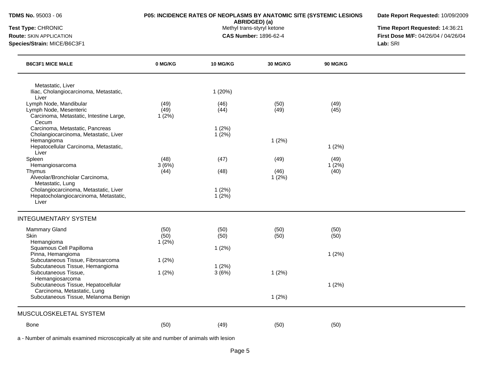**Date Report Requested:** 10/09/2009

**ABRIDGED) (a)**<br>Methyl trans-styryl ketone

**Test Type:** CHRONIC **The Report Requested:** 14:36:21 **Route:** SKIN APPLICATION **CAS Number:** 1896-62-4 **First Dose M/F:** 04/26/04 / 04/26/04 **Species/Strain:** MICE/B6C3F1 **Lab:** SRI

| <b>B6C3F1 MICE MALE</b>                                                                                                                  | 0 MG/KG               | 10 MG/KG          | <b>30 MG/KG</b>       | <b>90 MG/KG</b>       |  |
|------------------------------------------------------------------------------------------------------------------------------------------|-----------------------|-------------------|-----------------------|-----------------------|--|
| Metastatic, Liver<br>Iliac, Cholangiocarcinoma, Metastatic,<br>Liver                                                                     |                       | 1(20%)            |                       |                       |  |
| Lymph Node, Mandibular<br>Lymph Node, Mesenteric<br>Carcinoma, Metastatic, Intestine Large,<br>Cecum                                     | (49)<br>(49)<br>1(2%) | (46)<br>(44)      | (50)<br>(49)          | (49)<br>(45)          |  |
| Carcinoma, Metastatic, Pancreas<br>Cholangiocarcinoma, Metastatic, Liver<br>Hemangioma<br>Hepatocellular Carcinoma, Metastatic,<br>Liver |                       | 1(2%)<br>$1(2\%)$ | 1(2%)                 | 1(2%)                 |  |
| Spleen<br>Hemangiosarcoma<br>Thymus<br>Alveolar/Bronchiolar Carcinoma,<br>Metastatic, Lung                                               | (48)<br>3(6%)<br>(44) | (47)<br>(48)      | (49)<br>(46)<br>1(2%) | (49)<br>1(2%)<br>(40) |  |
| Cholangiocarcinoma, Metastatic, Liver<br>Hepatocholangiocarcinoma, Metastatic,<br>Liver                                                  |                       | 1(2%)<br>$1(2\%)$ |                       |                       |  |
| <b>INTEGUMENTARY SYSTEM</b>                                                                                                              |                       |                   |                       |                       |  |
| <b>Mammary Gland</b><br>Skin<br>Hemangioma<br>Squamous Cell Papilloma                                                                    | (50)<br>(50)<br>1(2%) | (50)<br>(50)      | (50)<br>(50)          | (50)<br>(50)          |  |
| Pinna, Hemangioma<br>Subcutaneous Tissue, Fibrosarcoma<br>Subcutaneous Tissue, Hemangioma                                                | 1(2%)                 | 1(2%)<br>$1(2\%)$ |                       | 1(2%)                 |  |
| Subcutaneous Tissue,<br>Hemangiosarcoma<br>Subcutaneous Tissue, Hepatocellular                                                           | 1(2%)                 | 3(6%)             | 1(2%)                 | 1(2%)                 |  |
| Carcinoma, Metastatic, Lung<br>Subcutaneous Tissue, Melanoma Benign                                                                      |                       |                   | 1(2%)                 |                       |  |
| MUSCULOSKELETAL SYSTEM                                                                                                                   |                       |                   |                       |                       |  |
| <b>Bone</b>                                                                                                                              | (50)                  | (49)              | (50)                  | (50)                  |  |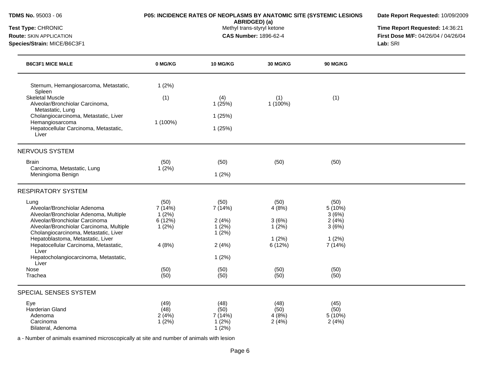| Test Type: CHRONIC<br><b>Route: SKIN APPLICATION</b><br>Species/Strain: MICE/B6C3F1                                                                                                                   |                                            | ABRIDGED) (a)<br>Methyl trans-styryl ketone<br><b>CAS Number: 1896-62-4</b> | Time Report Requested: 14:36:21<br>First Dose M/F: 04/26/04 / 04/26/04<br>Lab: SRI |                                           |  |
|-------------------------------------------------------------------------------------------------------------------------------------------------------------------------------------------------------|--------------------------------------------|-----------------------------------------------------------------------------|------------------------------------------------------------------------------------|-------------------------------------------|--|
| <b>B6C3F1 MICE MALE</b>                                                                                                                                                                               | 0 MG/KG                                    | <b>10 MG/KG</b>                                                             | <b>30 MG/KG</b>                                                                    | <b>90 MG/KG</b>                           |  |
| Sternum, Hemangiosarcoma, Metastatic,<br>Spleen                                                                                                                                                       | 1(2%)                                      |                                                                             |                                                                                    |                                           |  |
| <b>Skeletal Muscle</b><br>Alveolar/Bronchiolar Carcinoma,<br>Metastatic, Lung                                                                                                                         | (1)                                        | (4)<br>1(25%)                                                               | (1)<br>1 (100%)                                                                    | (1)                                       |  |
| Cholangiocarcinoma, Metastatic, Liver                                                                                                                                                                 |                                            | 1(25%)                                                                      |                                                                                    |                                           |  |
| Hemangiosarcoma<br>Hepatocellular Carcinoma, Metastatic,<br>Liver                                                                                                                                     | 1 (100%)                                   | 1(25%)                                                                      |                                                                                    |                                           |  |
| <b>NERVOUS SYSTEM</b>                                                                                                                                                                                 |                                            |                                                                             |                                                                                    |                                           |  |
| <b>Brain</b><br>Carcinoma, Metastatic, Lung<br>Meningioma Benign                                                                                                                                      | (50)<br>1(2%)                              | (50)<br>1(2%)                                                               | (50)                                                                               | (50)                                      |  |
| <b>RESPIRATORY SYSTEM</b>                                                                                                                                                                             |                                            |                                                                             |                                                                                    |                                           |  |
| Lung<br>Alveolar/Bronchiolar Adenoma<br>Alveolar/Bronchiolar Adenoma, Multiple<br>Alveolar/Bronchiolar Carcinoma<br>Alveolar/Bronchiolar Carcinoma, Multiple<br>Cholangiocarcinoma, Metastatic, Liver | (50)<br>7(14%)<br>1(2%)<br>6(12%)<br>1(2%) | (50)<br>7(14%)<br>2(4%)<br>1(2%)<br>1(2%)                                   | (50)<br>4(8%)<br>3(6%)<br>1(2%)                                                    | (50)<br>5(10%)<br>3(6%)<br>2(4%)<br>3(6%) |  |
| Hepatoblastoma, Metastatic, Liver<br>Hepatocellular Carcinoma, Metastatic,<br>Liver                                                                                                                   | 4(8%)                                      | 2(4%)                                                                       | 1(2%)<br>6(12%)                                                                    | 1(2%)<br>7 (14%)                          |  |
| Hepatocholangiocarcinoma, Metastatic,<br>Liver                                                                                                                                                        |                                            | 1(2%)                                                                       |                                                                                    |                                           |  |
| Nose<br>Trachea                                                                                                                                                                                       | (50)<br>(50)                               | (50)<br>(50)                                                                | (50)<br>(50)                                                                       | (50)<br>(50)                              |  |

**Date Report Requested:** 10/09/2009

| Eye                | (49)  | (48)     | (48)  | (45)   |
|--------------------|-------|----------|-------|--------|
| Harderian Gland    | (48)  | (50)     | (50)  | (50)   |
| Adenoma            | 2(4%) | $(14\%)$ | 4(8%) | 5(10%) |
| Carcinoma          | (2%)  | (2%)     | 2(4%) | 2(4%)  |
| Bilateral, Adenoma |       | (2%)     |       |        |

**TDMS No.** 95003 - 06 **P05: INCIDENCE RATES OF NEOPLASMS BY ANATOMIC SITE (SYSTEMIC LESIONS**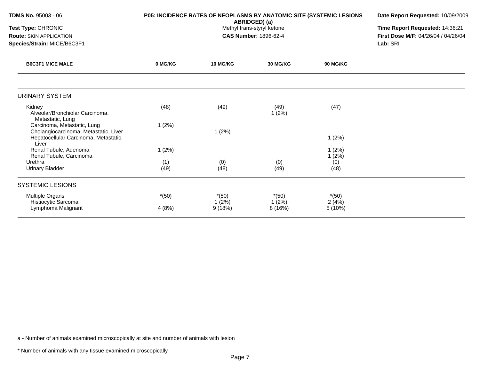|                                                                  | Date Report Requested: 10/09/2009                                      |                            |                                                                             |                                                                               |
|------------------------------------------------------------------|------------------------------------------------------------------------|----------------------------|-----------------------------------------------------------------------------|-------------------------------------------------------------------------------|
|                                                                  | Time Report Requested: 14:36:21<br>First Dose M/F: 04/26/04 / 04/26/04 |                            |                                                                             |                                                                               |
|                                                                  |                                                                        |                            |                                                                             | Lab: SRI                                                                      |
| 0 MG/KG<br><b>10 MG/KG</b><br><b>30 MG/KG</b><br><b>90 MG/KG</b> |                                                                        |                            |                                                                             |                                                                               |
|                                                                  |                                                                        |                            |                                                                             |                                                                               |
| (48)                                                             | (49)                                                                   | (49)<br>1(2%)              | (47)                                                                        |                                                                               |
|                                                                  | 1(2%)                                                                  |                            | 1(2%)                                                                       |                                                                               |
| 1(2%)                                                            |                                                                        |                            | 1(2%)                                                                       |                                                                               |
| (1)<br>(49)                                                      | (0)<br>(48)                                                            | (0)<br>(49)                | (0)<br>(48)                                                                 |                                                                               |
|                                                                  |                                                                        |                            |                                                                             |                                                                               |
| $*(50)$<br>4(8%)                                                 | $*(50)$<br>1(2%)<br>9(18%)                                             | $*(50)$<br>1(2%)<br>8(16%) | $*(50)$<br>2(4%)<br>5 (10%)                                                 |                                                                               |
|                                                                  | 1(2%)                                                                  |                            | ABRIDGED) (a)<br>Methyl trans-styryl ketone<br><b>CAS Number: 1896-62-4</b> | P05: INCIDENCE RATES OF NEOPLASMS BY ANATOMIC SITE (SYSTEMIC LESIONS<br>1(2%) |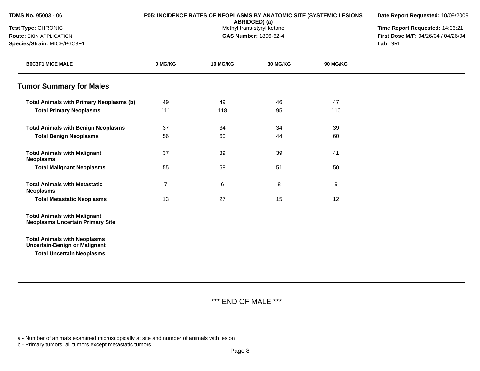|  | <b>TDMS No. 95003 - 06</b> |  |
|--|----------------------------|--|
|  |                            |  |

# **P05: INCIDENCE RATES OF NEOPLASMS BY ANATOMIC SITE (SYSTEMIC LESIONS**

**Date Report Requested:** 10/09/2009

**ABRIDGED) (a)**<br>Methyl trans-styryl ketone

**Test Type:** CHRONIC **The Report Requested:** 14:36:21 **Route:** SKIN APPLICATION **CAS Number:** 1896-62-4 **First Dose M/F:** 04/26/04 / 04/26/04 **Species/Strain:** MICE/B6C3F1 **Lab:** SRI

| <b>B6C3F1 MICE MALE</b>                                                        | 0 MG/KG        | <b>10 MG/KG</b> | <b>30 MG/KG</b> | <b>90 MG/KG</b> |  |
|--------------------------------------------------------------------------------|----------------|-----------------|-----------------|-----------------|--|
| <b>Tumor Summary for Males</b>                                                 |                |                 |                 |                 |  |
| <b>Total Animals with Primary Neoplasms (b)</b>                                | 49             | 49              | 46              | 47              |  |
| <b>Total Primary Neoplasms</b>                                                 | 111            | 118             | 95              | 110             |  |
| <b>Total Animals with Benign Neoplasms</b>                                     | 37             | 34              | 34              | 39              |  |
| <b>Total Benign Neoplasms</b>                                                  | 56             | 60              | 44              | 60              |  |
| <b>Total Animals with Malignant</b><br><b>Neoplasms</b>                        | 37             | 39              | 39              | 41              |  |
| <b>Total Malignant Neoplasms</b>                                               | 55             | 58              | 51              | 50              |  |
| <b>Total Animals with Metastatic</b><br><b>Neoplasms</b>                       | $\overline{7}$ | 6               | 8               | 9               |  |
| <b>Total Metastatic Neoplasms</b>                                              | 13             | 27              | 15              | 12              |  |
| <b>Total Animals with Malignant</b><br><b>Neoplasms Uncertain Primary Site</b> |                |                 |                 |                 |  |
| <b>Total Animals with Neoplasms</b><br><b>Uncertain-Benign or Malignant</b>    |                |                 |                 |                 |  |
| <b>Total Uncertain Neoplasms</b>                                               |                |                 |                 |                 |  |

\*\*\* END OF MALE \*\*\*

a - Number of animals examined microscopically at site and number of animals with lesion

b - Primary tumors: all tumors except metastatic tumors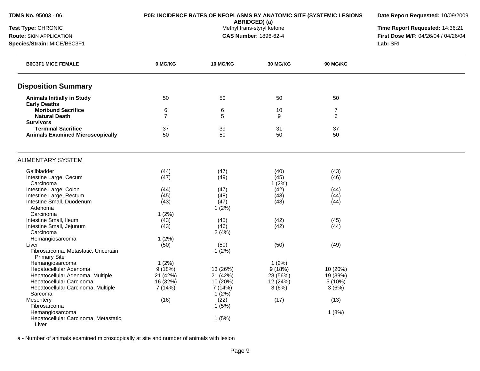**Date Report Requested:** 10/09/2009

**ABRIDGED) (a)**<br>Methyl trans-styryl ketone

**Test Type:** CHRONIC **The Report Requested:** 14:36:21 **Route:** SKIN APPLICATION **CAS Number:** 1896-62-4 **First Dose M/F:** 04/26/04 / 04/26/04 **Species/Strain:** MICE/B6C3F1 **Lab:** SRI

| <b>B6C3F1 MICE FEMALE</b>                                  | 0 MG/KG        | <b>10 MG/KG</b> | <b>30 MG/KG</b> | <b>90 MG/KG</b> |  |
|------------------------------------------------------------|----------------|-----------------|-----------------|-----------------|--|
| <b>Disposition Summary</b>                                 |                |                 |                 |                 |  |
| <b>Animals Initially in Study</b>                          | 50             | 50              | 50              | 50              |  |
| <b>Early Deaths</b>                                        |                |                 |                 |                 |  |
| <b>Moribund Sacrifice</b>                                  | 6              | 6               | 10              | $\overline{7}$  |  |
| <b>Natural Death</b>                                       | $\overline{7}$ | 5               | 9               | 6               |  |
| <b>Survivors</b>                                           |                |                 |                 |                 |  |
| <b>Terminal Sacrifice</b>                                  | 37             | 39              | 31              | 37              |  |
| <b>Animals Examined Microscopically</b>                    | 50             | 50              | 50              | 50              |  |
| <b>ALIMENTARY SYSTEM</b>                                   |                |                 |                 |                 |  |
|                                                            |                |                 |                 |                 |  |
| Gallbladder                                                | (44)           | (47)            | (40)            | (43)            |  |
| Intestine Large, Cecum                                     | (47)           | (49)            | (45)            | (46)            |  |
| Carcinoma                                                  |                |                 | 1(2%)           |                 |  |
| Intestine Large, Colon                                     | (44)           | (47)            | (42)            | (44)            |  |
| Intestine Large, Rectum                                    | (45)           | (48)            | (43)            | (44)            |  |
| Intestine Small, Duodenum                                  | (43)           | (47)            | (43)            | (44)            |  |
| Adenoma                                                    |                | 1(2%)           |                 |                 |  |
| Carcinoma                                                  | 1(2%)          |                 |                 |                 |  |
| Intestine Small, Ileum                                     | (43)           | (45)            | (42)            | (45)            |  |
| Intestine Small, Jejunum                                   | (43)           | (46)            | (42)            | (44)            |  |
| Carcinoma                                                  |                | 2(4%)           |                 |                 |  |
| Hemangiosarcoma                                            | 1(2%)          |                 |                 |                 |  |
| Liver                                                      | (50)           | (50)            | (50)            | (49)            |  |
| Fibrosarcoma, Metastatic, Uncertain<br><b>Primary Site</b> |                | 1(2%)           |                 |                 |  |
| Hemangiosarcoma                                            | 1(2%)          |                 | 1(2%)           |                 |  |
| Hepatocellular Adenoma                                     | 9(18%)         | 13 (26%)        | 9(18%)          | 10 (20%)        |  |
| Hepatocellular Adenoma, Multiple                           | 21 (42%)       | 21 (42%)        | 28 (56%)        | 19 (39%)        |  |
| Hepatocellular Carcinoma                                   | 16 (32%)       | 10 (20%)        | 12 (24%)        | 5 (10%)         |  |
| Hepatocellular Carcinoma, Multiple                         | 7(14%)         | 7 (14%)         | 3(6%)           | 3(6%)           |  |
| Sarcoma                                                    |                | 1(2%)           |                 |                 |  |
| Mesentery                                                  | (16)           | (22)            | (17)            | (13)            |  |
| Fibrosarcoma                                               |                | 1(5%)           |                 |                 |  |
| Hemangiosarcoma                                            |                |                 |                 | 1(8%)           |  |
| Hepatocellular Carcinoma, Metastatic,<br>Liver             |                | 1(5%)           |                 |                 |  |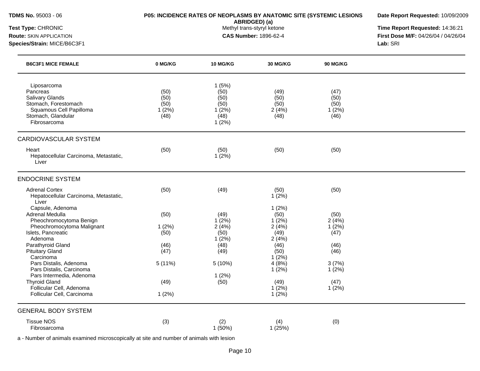| <b>TDMS No. 95003 - 06</b> |  |  |  |  |
|----------------------------|--|--|--|--|
|----------------------------|--|--|--|--|

# **P05: INCIDENCE RATES OF NEOPLASMS BY ANATOMIC SITE (SYSTEMIC LESIONS**

**Date Report Requested:** 10/09/2009

**ABRIDGED) (a)**<br>Methyl trans-styryl ketone

**Test Type:** CHRONIC **The Report Requested:** 14:36:21 **Route:** SKIN APPLICATION **CAS Number:** 1896-62-4 **First Dose M/F:** 04/26/04 / 04/26/04 **Species/Strain:** MICE/B6C3F1 **Lab:** SRI

| <b>B6C3F1 MICE FEMALE</b>                                                                                                                  | 0 MG/KG                                  | 10 MG/KG                                                | <b>30 MG/KG</b>                       | <b>90 MG/KG</b>                       |  |
|--------------------------------------------------------------------------------------------------------------------------------------------|------------------------------------------|---------------------------------------------------------|---------------------------------------|---------------------------------------|--|
| Liposarcoma<br>Pancreas<br><b>Salivary Glands</b><br>Stomach, Forestomach<br>Squamous Cell Papilloma<br>Stomach, Glandular<br>Fibrosarcoma | (50)<br>(50)<br>(50)<br>$1(2\%)$<br>(48) | 1(5%)<br>(50)<br>(50)<br>(50)<br>1(2%)<br>(48)<br>1(2%) | (49)<br>(50)<br>(50)<br>2(4%)<br>(48) | (47)<br>(50)<br>(50)<br>1(2%)<br>(46) |  |
| <b>CARDIOVASCULAR SYSTEM</b>                                                                                                               |                                          |                                                         |                                       |                                       |  |
| Heart<br>Hepatocellular Carcinoma, Metastatic,<br>Liver                                                                                    | (50)                                     | (50)<br>1(2%)                                           | (50)                                  | (50)                                  |  |
| <b>ENDOCRINE SYSTEM</b>                                                                                                                    |                                          |                                                         |                                       |                                       |  |
| <b>Adrenal Cortex</b><br>Hepatocellular Carcinoma, Metastatic,<br>Liver                                                                    | (50)                                     | (49)                                                    | (50)<br>1(2%)                         | (50)                                  |  |
| Capsule, Adenoma<br>Adrenal Medulla<br>Pheochromocytoma Benign<br>Pheochromocytoma Malignant                                               | (50)<br>1(2%)                            | (49)<br>$1(2\%)$<br>2(4%)                               | 1(2%)<br>(50)<br>1(2%)<br>2(4%)       | (50)<br>2(4%)<br>1(2%)                |  |
| Islets, Pancreatic<br>Adenoma                                                                                                              | (50)                                     | (50)<br>1(2%)                                           | (49)<br>2(4%)                         | (47)                                  |  |
| Parathyroid Gland<br><b>Pituitary Gland</b><br>Carcinoma                                                                                   | (46)<br>(47)                             | (48)<br>(49)                                            | (46)<br>(50)<br>1(2%)                 | (46)<br>(46)                          |  |
| Pars Distalis, Adenoma<br>Pars Distalis, Carcinoma<br>Pars Intermedia, Adenoma                                                             | 5(11%)                                   | 5 (10%)<br>1(2%)                                        | 4(8%)<br>1(2%)                        | 3(7%)<br>$1(2\%)$                     |  |
| <b>Thyroid Gland</b><br>Follicular Cell, Adenoma                                                                                           | (49)                                     | (50)                                                    | (49)<br>1(2%)                         | (47)<br>1(2%)                         |  |
| Follicular Cell, Carcinoma                                                                                                                 | 1(2%)                                    |                                                         | 1(2%)                                 |                                       |  |
| <b>GENERAL BODY SYSTEM</b>                                                                                                                 |                                          |                                                         |                                       |                                       |  |
| <b>Tissue NOS</b><br>Fibrosarcoma                                                                                                          | (3)                                      | (2)<br>1 (50%)                                          | (4)<br>1(25%)                         | (0)                                   |  |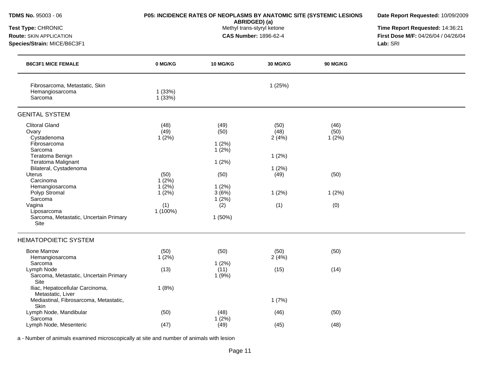| TDMS No. 95003 - 06                                                                                                                                                                                                                                                                                 | P05: INCIDENCE RATES OF NEOPLASMS BY ANATOMIC SITE (SYSTEMIC LESIONS        | Date Report Requested: 10/09/2009                                                           |                                                                 |                                               |                                     |
|-----------------------------------------------------------------------------------------------------------------------------------------------------------------------------------------------------------------------------------------------------------------------------------------------------|-----------------------------------------------------------------------------|---------------------------------------------------------------------------------------------|-----------------------------------------------------------------|-----------------------------------------------|-------------------------------------|
| Test Type: CHRONIC                                                                                                                                                                                                                                                                                  |                                                                             | ABRIDGED) (a)<br>Methyl trans-styryl ketone                                                 | Time Report Requested: 14:36:21                                 |                                               |                                     |
| Route: SKIN APPLICATION                                                                                                                                                                                                                                                                             |                                                                             |                                                                                             | <b>CAS Number: 1896-62-4</b>                                    |                                               | First Dose M/F: 04/26/04 / 04/26/04 |
| Species/Strain: MICE/B6C3F1                                                                                                                                                                                                                                                                         |                                                                             |                                                                                             |                                                                 | Lab: SRI                                      |                                     |
| <b>B6C3F1 MICE FEMALE</b>                                                                                                                                                                                                                                                                           | 0 MG/KG                                                                     | <b>10 MG/KG</b>                                                                             | 30 MG/KG                                                        | <b>90 MG/KG</b>                               |                                     |
| Fibrosarcoma, Metastatic, Skin<br>Hemangiosarcoma<br>Sarcoma                                                                                                                                                                                                                                        | 1(33%)<br>1(33%)                                                            |                                                                                             | 1(25%)                                                          |                                               |                                     |
| <b>GENITAL SYSTEM</b>                                                                                                                                                                                                                                                                               |                                                                             |                                                                                             |                                                                 |                                               |                                     |
| <b>Clitoral Gland</b><br>Ovary<br>Cystadenoma<br>Fibrosarcoma<br>Sarcoma<br>Teratoma Benign<br>Teratoma Malignant<br>Bilateral, Cystadenoma<br><b>Uterus</b><br>Carcinoma<br>Hemangiosarcoma<br>Polyp Stromal<br>Sarcoma<br>Vagina<br>Liposarcoma<br>Sarcoma, Metastatic, Uncertain Primary<br>Site | (48)<br>(49)<br>1(2%)<br>(50)<br>1(2%)<br>1(2%)<br>1(2%)<br>(1)<br>1 (100%) | (49)<br>(50)<br>1(2%)<br>1(2%)<br>1(2%)<br>(50)<br>1(2%)<br>3(6%)<br>1(2%)<br>(2)<br>1(50%) | (50)<br>(48)<br>2(4%)<br>1(2%)<br>1(2%)<br>(49)<br>1(2%)<br>(1) | (46)<br>(50)<br>1(2%)<br>(50)<br>1(2%)<br>(0) |                                     |
| <b>HEMATOPOIETIC SYSTEM</b>                                                                                                                                                                                                                                                                         |                                                                             |                                                                                             |                                                                 |                                               |                                     |
| <b>Bone Marrow</b><br>Hemangiosarcoma<br>Sarcoma                                                                                                                                                                                                                                                    | (50)<br>1(2%)                                                               | (50)<br>1(2%)                                                                               | (50)<br>2(4%)                                                   | (50)                                          |                                     |
| Lymph Node<br>Sarcoma, Metastatic, Uncertain Primary<br>Site<br>Iliac, Hepatocellular Carcinoma,                                                                                                                                                                                                    | (13)<br>1(8%)                                                               | (11)<br>1(9%)                                                                               | (15)                                                            | (14)                                          |                                     |
| Metastatic, Liver<br>Mediastinal, Fibrosarcoma, Metastatic,<br>Skin                                                                                                                                                                                                                                 |                                                                             |                                                                                             | 1(7%)                                                           |                                               |                                     |
| Lymph Node, Mandibular<br>Sarcoma                                                                                                                                                                                                                                                                   | (50)                                                                        | (48)<br>1(2%)                                                                               | (46)                                                            | (50)                                          |                                     |
| Lymph Node, Mesenteric                                                                                                                                                                                                                                                                              | (47)                                                                        | (49)                                                                                        | (45)                                                            | (48)                                          |                                     |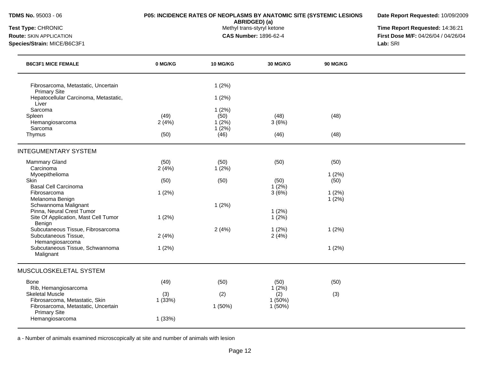**ABRIDGED) (a)**<br>Methyl trans-styryl ketone

**Date Report Requested:** 10/09/2009

**Test Type:** CHRONIC **The Report Requested:** 14:36:21 **Route:** SKIN APPLICATION **CAS Number:** 1896-62-4 **First Dose M/F:** 04/26/04 / 04/26/04 **Species/Strain:** MICE/B6C3F1 **Lab:** SRI

| 0 MG/KG               | 10 MG/KG               | <b>30 MG/KG</b>                          | <b>90 MG/KG</b> |       |
|-----------------------|------------------------|------------------------------------------|-----------------|-------|
|                       | 1(2%)<br>1(2%)         |                                          |                 |       |
| (49)<br>2(4%)         | 1(2%)<br>(50)<br>1(2%) | (48)<br>3(6%)                            | (48)            |       |
| (50)                  | (46)                   | (46)                                     | (48)            |       |
|                       |                        |                                          |                 |       |
| (50)<br>2(4%)         | (50)<br>1(2%)          | (50)                                     | (50)            |       |
| (50)                  | (50)                   | (50)                                     | (50)            |       |
| 1(2%)                 |                        | 3(6%)                                    | 1(2%)<br>1(2%)  |       |
| 1(2%)                 |                        | 1(2%)<br>$1(2\%)$                        |                 |       |
| 2(4%)                 | 2(4%)                  | 1(2%)<br>2(4%)                           | 1(2%)           |       |
| 1(2%)                 |                        |                                          | 1(2%)           |       |
|                       |                        |                                          |                 |       |
| (49)<br>(3)<br>1(33%) | (50)<br>(2)<br>1(50%)  | (50)<br>1(2%)<br>(2)<br>1(50%)<br>1(50%) | (50)<br>(3)     |       |
|                       | 1(33%)                 | 1(2%)<br>1(2%)                           | 1(2%)           | 1(2%) |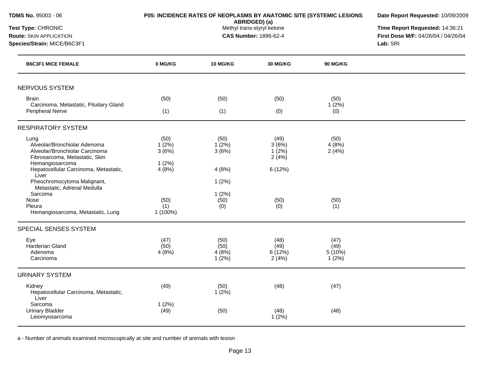| <b>TDMS No. 95003 - 06</b>                                                   | <b>P05: INCIDENCE RATES OF NEOPLASMS BY ANATOMIC SITE (SYSTEMIC LESIONS</b> | Date Report Requested: 10/09/2009<br>Time Report Requested: 14:36:21<br>First Dose M/F: 04/26/04 / 04/26/04<br>Lab: SRI |                  |                 |  |
|------------------------------------------------------------------------------|-----------------------------------------------------------------------------|-------------------------------------------------------------------------------------------------------------------------|------------------|-----------------|--|
| Test Type: CHRONIC<br>Route: SKIN APPLICATION<br>Species/Strain: MICE/B6C3F1 |                                                                             |                                                                                                                         |                  |                 |  |
| <b>B6C3F1 MICE FEMALE</b>                                                    | 0 MG/KG                                                                     | <b>10 MG/KG</b>                                                                                                         | 30 MG/KG         | <b>90 MG/KG</b> |  |
| <b>NERVOUS SYSTEM</b>                                                        |                                                                             |                                                                                                                         |                  |                 |  |
| <b>Brain</b><br>Carcinoma, Metastatic, Pituitary Gland                       | (50)                                                                        | (50)                                                                                                                    | (50)             | (50)<br>1(2%)   |  |
| Peripheral Nerve                                                             | (1)                                                                         | (1)                                                                                                                     | (0)              | (0)             |  |
| <b>RESPIRATORY SYSTEM</b>                                                    |                                                                             |                                                                                                                         |                  |                 |  |
| Lung                                                                         | (50)                                                                        | (50)                                                                                                                    | (49)             | (50)            |  |
| Alveolar/Bronchiolar Adenoma<br>Alveolar/Bronchiolar Carcinoma               | $1(2\%)$<br>3(6%)                                                           | $1(2\%)$<br>3(6%)                                                                                                       | 3(6%)<br>1(2%)   | 4(8%)<br>2(4%)  |  |
| Fibrosarcoma, Metastatic, Skin                                               |                                                                             |                                                                                                                         | 2(4%)            |                 |  |
| Hemangiosarcoma                                                              | 1(2%)                                                                       |                                                                                                                         |                  |                 |  |
| Hepatocellular Carcinoma, Metastatic,<br>Liver                               | 4(8%)                                                                       | 4(8%)                                                                                                                   | 6 (12%)          |                 |  |
| Pheochromocytoma Malignant,<br>Metastatic, Adrenal Medulla                   |                                                                             | 1(2%)                                                                                                                   |                  |                 |  |
| Sarcoma                                                                      |                                                                             | 1(2%)                                                                                                                   |                  |                 |  |
| Nose                                                                         | (50)                                                                        | (50)                                                                                                                    | (50)             | (50)            |  |
| Pleura                                                                       | (1)                                                                         | (0)                                                                                                                     | (0)              | (1)             |  |
| Hemangiosarcoma, Metastatic, Lung                                            | 1 (100%)                                                                    |                                                                                                                         |                  |                 |  |
| SPECIAL SENSES SYSTEM                                                        |                                                                             |                                                                                                                         |                  |                 |  |
| Eye                                                                          | (47)                                                                        | (50)                                                                                                                    | (48)             | (47)            |  |
| Harderian Gland                                                              | (50)                                                                        | (50)                                                                                                                    | (49)             | (49)            |  |
| Adenoma<br>Carcinoma                                                         | 4(8%)                                                                       | 4(8%)<br>$1(2\%)$                                                                                                       | 6(12%)<br>2(4%)  | 5(10%)<br>1(2%) |  |
| <b>URINARY SYSTEM</b>                                                        |                                                                             |                                                                                                                         |                  |                 |  |
| Kidney                                                                       | (49)                                                                        | (50)                                                                                                                    | (48)             | (47)            |  |
| Hepatocellular Carcinoma, Metastatic,<br>Liver                               |                                                                             | $1(2\%)$                                                                                                                |                  |                 |  |
| Sarcoma                                                                      | 1(2%)                                                                       |                                                                                                                         |                  |                 |  |
| <b>Urinary Bladder</b>                                                       | (49)                                                                        | (50)                                                                                                                    | (48)<br>$1(2\%)$ | (48)            |  |
| Leiomyosarcoma                                                               |                                                                             |                                                                                                                         |                  |                 |  |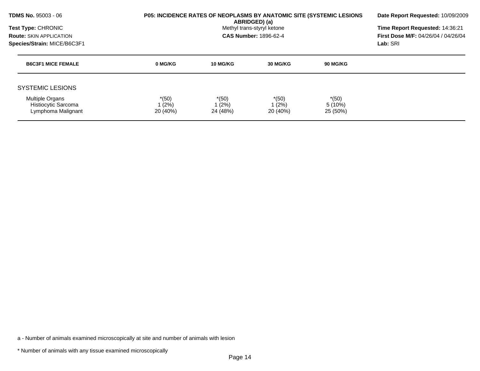| <b>TDMS No. 95003 - 06</b>                                          | <b>P05: INCIDENCE RATES OF NEOPLASMS BY ANATOMIC SITE (SYSTEMIC LESIONS</b> | Date Report Requested: 10/09/2009                                           |                              |                               |  |  |
|---------------------------------------------------------------------|-----------------------------------------------------------------------------|-----------------------------------------------------------------------------|------------------------------|-------------------------------|--|--|
| Test Type: CHRONIC                                                  |                                                                             | ABRIDGED) (a)<br>Methyl trans-styryl ketone<br><b>CAS Number: 1896-62-4</b> |                              |                               |  |  |
| <b>Route: SKIN APPLICATION</b>                                      |                                                                             |                                                                             |                              |                               |  |  |
| Species/Strain: MICE/B6C3F1                                         |                                                                             |                                                                             | Lab: SRI                     |                               |  |  |
| <b>B6C3F1 MICE FEMALE</b>                                           | 0 MG/KG                                                                     | 10 MG/KG                                                                    | 30 MG/KG                     | 90 MG/KG                      |  |  |
| <b>SYSTEMIC LESIONS</b>                                             |                                                                             |                                                                             |                              |                               |  |  |
| <b>Multiple Organs</b><br>Histiocytic Sarcoma<br>Lymphoma Malignant | $*(50)$<br>1 (2%)<br>20 (40%)                                               | $*(50)$<br>$1(2\%)$<br>24 (48%)                                             | $*(50)$<br>1(2%)<br>20 (40%) | $*(50)$<br>5(10%)<br>25 (50%) |  |  |

\* Number of animals with any tissue examined microscopically